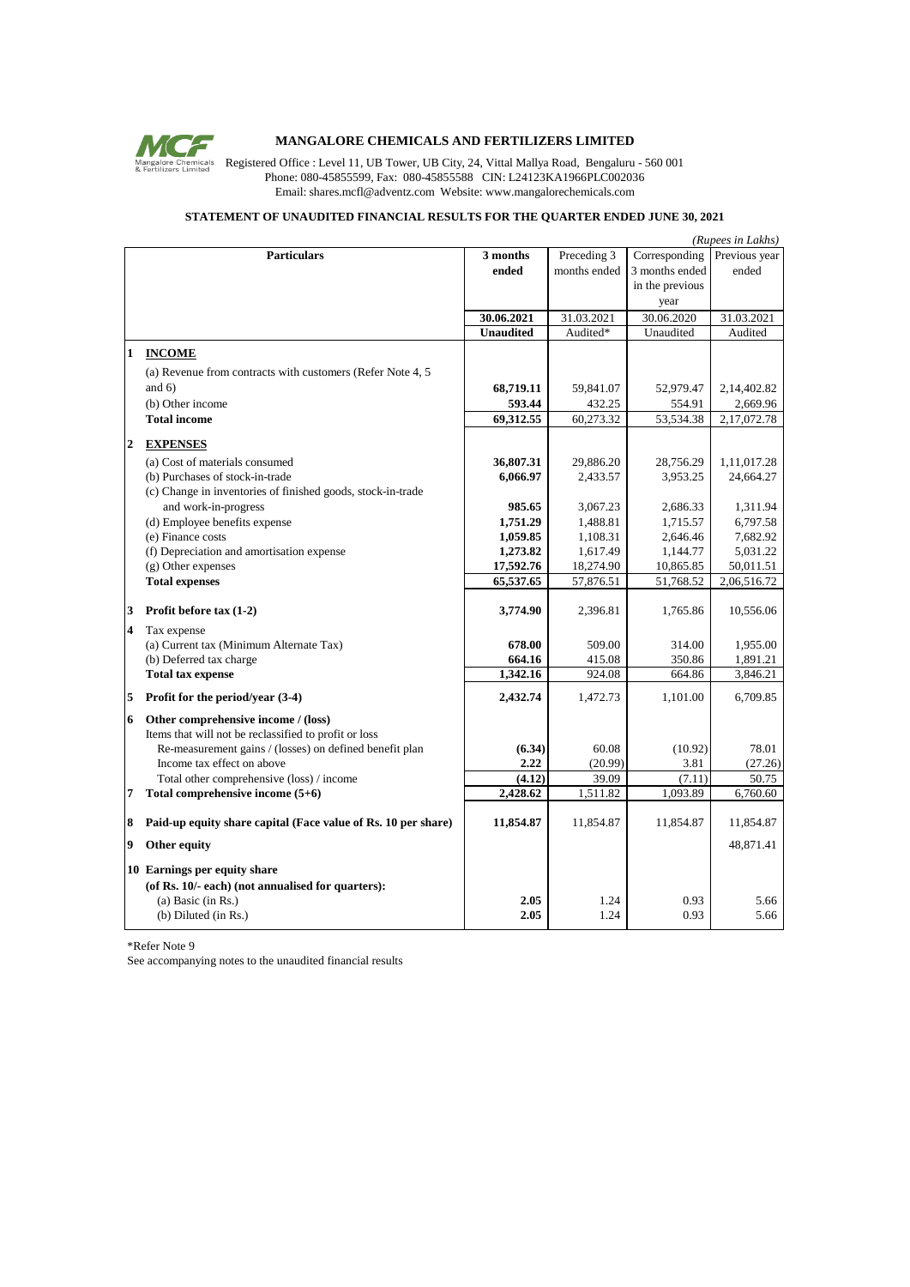

## **MANGALORE CHEMICALS AND FERTILIZERS LIMITED**

Mangalore Chemicals<br>**Register Chemicals** Registered Office : Level 11, UB Tower, UB City, 24, Vittal Mallya Road, Bengaluru - 560 001 Phone: 080-45855599, Fax: 080-45855588 CIN: L24123KA1966PLC002036 Email: shares.mcfl@adventz.com Website: www.mangalorechemicals.com

## **STATEMENT OF UNAUDITED FINANCIAL RESULTS FOR THE QUARTER ENDED JUNE 30, 2021**

|                | (Rupees in Lakhs)                                                        |                  |              |                 |               |  |
|----------------|--------------------------------------------------------------------------|------------------|--------------|-----------------|---------------|--|
|                | <b>Particulars</b>                                                       | 3 months         | Preceding 3  | Corresponding   | Previous year |  |
|                |                                                                          | ended            | months ended | 3 months ended  | ended         |  |
|                |                                                                          |                  |              | in the previous |               |  |
|                |                                                                          |                  |              | year            |               |  |
|                |                                                                          | 30.06.2021       | 31.03.2021   | 30.06.2020      | 31.03.2021    |  |
|                |                                                                          | <b>Unaudited</b> | Audited*     | Unaudited       | Audited       |  |
| 1              | <b>INCOME</b>                                                            |                  |              |                 |               |  |
|                |                                                                          |                  |              |                 |               |  |
|                | (a) Revenue from contracts with customers (Refer Note 4, 5)<br>and $6$ ) |                  |              |                 |               |  |
|                |                                                                          | 68,719.11        | 59,841.07    | 52,979.47       | 2,14,402.82   |  |
|                | (b) Other income                                                         | 593.44           | 432.25       | 554.91          | 2,669.96      |  |
|                | <b>Total income</b>                                                      | 69,312.55        | 60,273.32    | 53,534.38       | 2,17,072.78   |  |
| $\overline{2}$ | <b>EXPENSES</b>                                                          |                  |              |                 |               |  |
|                | (a) Cost of materials consumed                                           | 36,807.31        | 29,886.20    | 28,756.29       | 1,11,017.28   |  |
|                | (b) Purchases of stock-in-trade                                          | 6,066.97         | 2,433.57     | 3,953.25        | 24,664.27     |  |
|                | (c) Change in inventories of finished goods, stock-in-trade              |                  |              |                 |               |  |
|                | and work-in-progress                                                     | 985.65           | 3,067.23     | 2,686.33        | 1,311.94      |  |
|                | (d) Employee benefits expense                                            | 1,751.29         | 1,488.81     | 1,715.57        | 6,797.58      |  |
|                | (e) Finance costs                                                        | 1,059.85         | 1,108.31     | 2,646.46        | 7,682.92      |  |
|                | (f) Depreciation and amortisation expense                                | 1,273.82         | 1,617.49     | 1,144.77        | 5,031.22      |  |
|                | (g) Other expenses                                                       | 17,592.76        | 18,274.90    | 10,865.85       | 50,011.51     |  |
|                | <b>Total expenses</b>                                                    | 65,537.65        | 57,876.51    | 51,768.52       | 2,06,516.72   |  |
|                |                                                                          |                  |              |                 |               |  |
| 3              | Profit before $tax(1-2)$                                                 | 3,774.90         | 2,396.81     | 1,765.86        | 10,556.06     |  |
| $\overline{4}$ | Tax expense                                                              |                  |              |                 |               |  |
|                | (a) Current tax (Minimum Alternate Tax)                                  | 678.00           | 509.00       | 314.00          | 1,955.00      |  |
|                | (b) Deferred tax charge                                                  | 664.16           | 415.08       | 350.86          | 1,891.21      |  |
|                | <b>Total tax expense</b>                                                 | 1,342.16         | 924.08       | 664.86          | 3,846.21      |  |
| 5              | Profit for the period/year (3-4)                                         | 2,432.74         | 1,472.73     | 1,101.00        | 6,709.85      |  |
|                |                                                                          |                  |              |                 |               |  |
|                | 6 Other comprehensive income / (loss)                                    |                  |              |                 |               |  |
|                | Items that will not be reclassified to profit or loss                    |                  |              |                 |               |  |
|                | Re-measurement gains / (losses) on defined benefit plan                  | (6.34)           | 60.08        | (10.92)         | 78.01         |  |
|                | Income tax effect on above                                               | 2.22             | (20.99)      | 3.81            | (27.26)       |  |
|                | Total other comprehensive (loss) / income                                | (4.12)           | 39.09        | (7.11)          | 50.75         |  |
| 7              | Total comprehensive income (5+6)                                         | 2,428.62         | 1,511.82     | 1,093.89        | 6,760.60      |  |
| 8              | Paid-up equity share capital (Face value of Rs. 10 per share)            | 11,854.87        | 11,854.87    | 11,854.87       | 11,854.87     |  |
| 9              | Other equity                                                             |                  |              |                 | 48,871.41     |  |
|                | 10 Earnings per equity share                                             |                  |              |                 |               |  |
|                | (of Rs. 10/- each) (not annualised for quarters):                        |                  |              |                 |               |  |
|                | (a) Basic (in Rs.)                                                       | 2.05             | 1.24         | 0.93            | 5.66          |  |
|                | (b) Diluted (in Rs.)                                                     | 2.05             | 1.24         | 0.93            | 5.66          |  |
|                |                                                                          |                  |              |                 |               |  |

\*Refer Note 9

See accompanying notes to the unaudited financial results